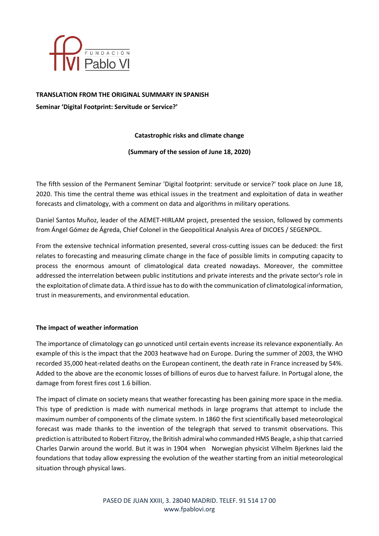

#### **TRANSLATION FROM THE ORIGINAL SUMMARY IN SPANISH**

**Seminar 'Digital Footprint: Servitude or Service?'**

# **Catastrophic risks and climate change**

#### **(Summary of the session of June 18, 2020)**

The fifth session of the Permanent Seminar 'Digital footprint: servitude or service?' took place on June 18, 2020. This time the central theme was ethical issues in the treatment and exploitation of data in weather forecasts and climatology, with a comment on data and algorithms in military operations.

Daniel Santos Muñoz, leader of the AEMET-HIRLAM project, presented the session, followed by comments from Ángel Gómez de Ágreda, Chief Colonel in the Geopolitical Analysis Area of DICOES / SEGENPOL.

From the extensive technical information presented, several cross-cutting issues can be deduced: the first relates to forecasting and measuring climate change in the face of possible limits in computing capacity to process the enormous amount of climatological data created nowadays. Moreover, the committee addressed the interrelation between public institutions and private interests and the private sector's role in the exploitation of climate data. A third issue has to do with the communication of climatological information, trust in measurements, and environmental education.

# **The impact of weather information**

The importance of climatology can go unnoticed until certain events increase its relevance exponentially. An example of this is the impact that the 2003 heatwave had on Europe. During the summer of 2003, the WHO recorded 35,000 heat-related deaths on the European continent, the death rate in France increased by 54%. Added to the above are the economic losses of billions of euros due to harvest failure. In Portugal alone, the damage from forest fires cost 1.6 billion.

The impact of climate on society means that weather forecasting has been gaining more space in the media. This type of prediction is made with numerical methods in large programs that attempt to include the maximum number of components of the climate system. In 1860 the first scientifically based meteorological forecast was made thanks to the invention of the telegraph that served to transmit observations. This prediction is attributed to Robert Fitzroy, the British admiral who commanded HMS Beagle, a ship that carried Charles Darwin around the world. But it was in 1904 when Norwegian physicist Vilhelm Bjerknes laid the foundations that today allow expressing the evolution of the weather starting from an initial meteorological situation through physical laws.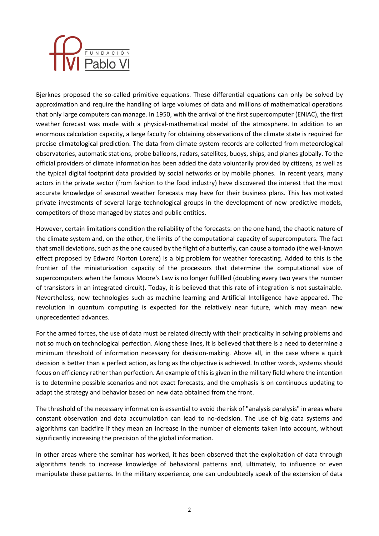

Bjerknes proposed the so-called primitive equations. These differential equations can only be solved by approximation and require the handling of large volumes of data and millions of mathematical operations that only large computers can manage. In 1950, with the arrival of the first supercomputer (ENIAC), the first weather forecast was made with a physical-mathematical model of the atmosphere. In addition to an enormous calculation capacity, a large faculty for obtaining observations of the climate state is required for precise climatological prediction. The data from climate system records are collected from meteorological observatories, automatic stations, probe balloons, radars, satellites, buoys, ships, and planes globally. To the official providers of climate information has been added the data voluntarily provided by citizens, as well as the typical digital footprint data provided by social networks or by mobile phones. In recent years, many actors in the private sector (from fashion to the food industry) have discovered the interest that the most accurate knowledge of seasonal weather forecasts may have for their business plans. This has motivated private investments of several large technological groups in the development of new predictive models, competitors of those managed by states and public entities.

However, certain limitations condition the reliability of the forecasts: on the one hand, the chaotic nature of the climate system and, on the other, the limits of the computational capacity of supercomputers. The fact that small deviations, such as the one caused by the flight of a butterfly, can cause a tornado (the well-known effect proposed by Edward Norton Lorenz) is a big problem for weather forecasting. Added to this is the frontier of the miniaturization capacity of the processors that determine the computational size of supercomputers when the famous Moore's Law is no longer fulfilled (doubling every two years the number of transistors in an integrated circuit). Today, it is believed that this rate of integration is not sustainable. Nevertheless, new technologies such as machine learning and Artificial Intelligence have appeared. The revolution in quantum computing is expected for the relatively near future, which may mean new unprecedented advances.

For the armed forces, the use of data must be related directly with their practicality in solving problems and not so much on technological perfection. Along these lines, it is believed that there is a need to determine a minimum threshold of information necessary for decision-making. Above all, in the case where a quick decision is better than a perfect action, as long as the objective is achieved. In other words, systems should focus on efficiency rather than perfection. An example of this is given in the military field where the intention is to determine possible scenarios and not exact forecasts, and the emphasis is on continuous updating to adapt the strategy and behavior based on new data obtained from the front.

The threshold of the necessary information is essential to avoid the risk of "analysis paralysis" in areas where constant observation and data accumulation can lead to no-decision. The use of big data systems and algorithms can backfire if they mean an increase in the number of elements taken into account, without significantly increasing the precision of the global information.

In other areas where the seminar has worked, it has been observed that the exploitation of data through algorithms tends to increase knowledge of behavioral patterns and, ultimately, to influence or even manipulate these patterns. In the military experience, one can undoubtedly speak of the extension of data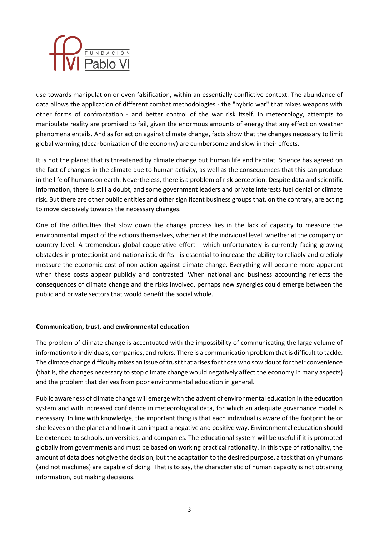

use towards manipulation or even falsification, within an essentially conflictive context. The abundance of data allows the application of different combat methodologies - the "hybrid war" that mixes weapons with other forms of confrontation - and better control of the war risk itself. In meteorology, attempts to manipulate reality are promised to fail, given the enormous amounts of energy that any effect on weather phenomena entails. And as for action against climate change, facts show that the changes necessary to limit global warming (decarbonization of the economy) are cumbersome and slow in their effects.

It is not the planet that is threatened by climate change but human life and habitat. Science has agreed on the fact of changes in the climate due to human activity, as well as the consequences that this can produce in the life of humans on earth. Nevertheless, there is a problem of risk perception. Despite data and scientific information, there is still a doubt, and some government leaders and private interests fuel denial of climate risk. But there are other public entities and other significant business groups that, on the contrary, are acting to move decisively towards the necessary changes.

One of the difficulties that slow down the change process lies in the lack of capacity to measure the environmental impact of the actions themselves, whether at the individual level, whether at the company or country level. A tremendous global cooperative effort - which unfortunately is currently facing growing obstacles in protectionist and nationalistic drifts - is essential to increase the ability to reliably and credibly measure the economic cost of non-action against climate change. Everything will become more apparent when these costs appear publicly and contrasted. When national and business accounting reflects the consequences of climate change and the risks involved, perhaps new synergies could emerge between the public and private sectors that would benefit the social whole.

# **Communication, trust, and environmental education**

The problem of climate change is accentuated with the impossibility of communicating the large volume of information to individuals, companies, and rulers. There is a communication problem that is difficult to tackle. The climate change difficulty mixes an issue of trust that arises for those who sow doubt for their convenience (that is, the changes necessary to stop climate change would negatively affect the economy in many aspects) and the problem that derives from poor environmental education in general.

Public awareness of climate change will emerge with the advent of environmental education in the education system and with increased confidence in meteorological data, for which an adequate governance model is necessary. In line with knowledge, the important thing is that each individual is aware of the footprint he or she leaves on the planet and how it can impact a negative and positive way. Environmental education should be extended to schools, universities, and companies. The educational system will be useful if it is promoted globally from governments and must be based on working practical rationality. In this type of rationality, the amount of data does not give the decision, but the adaptation to the desired purpose, a task that only humans (and not machines) are capable of doing. That is to say, the characteristic of human capacity is not obtaining information, but making decisions.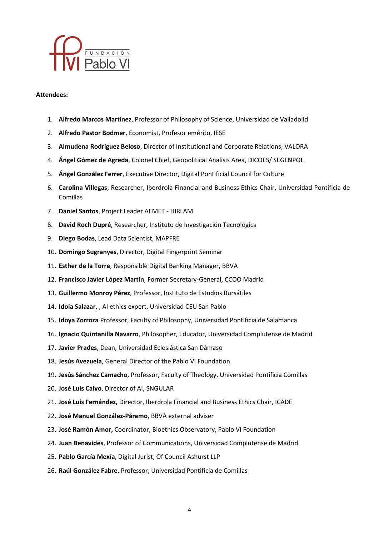

#### **Attendees:**

- 1. **Alfredo Marcos Martínez**, Professor of Philosophy of Science, Universidad de Valladolid
- 2. **Alfredo Pastor Bodmer**, Economist, Profesor emérito, IESE
- 3. **Almudena Rodríguez Beloso**, Director of Institutional and Corporate Relations, VALORA
- 4. **Ángel Gómez de Agreda**, Colonel Chief, Geopolitical Analisis Area, DICOES/ SEGENPOL
- 5. **Ángel González Ferrer**, Executive Director, Digital Pontificial Council for Culture
- 6. **Carolina Villegas**, Researcher, Iberdrola Financial and Business Ethics Chair, Universidad Pontificia de Comillas
- 7. **Daniel Santos**, Project Leader AEMET HIRLAM
- 8. **David Roch Dupré**, Researcher, Instituto de Investigación Tecnológica
- 9. **Diego Bodas**, Lead Data Scientist, MAPFRE
- 10. **Domingo Sugranyes**, Director, Digital Fingerprint Seminar
- 11. **Esther de la Torre**, Responsible Digital Banking Manager, BBVA
- 12. **Francisco Javier López Martín**, Former Secretary-General, CCOO Madrid
- 13. **Guillermo Monroy Pérez**, Professor, Instituto de Estudios Bursátiles
- 14. **Idoia Salazar**, , AI ethics expert, Universidad CEU San Pablo
- 15. **Idoya Zorroza** Professor, Faculty of Philosophy, Universidad Pontificia de Salamanca
- 16. **Ignacio Quintanilla Navarro**, Philosopher, Educator, Universidad Complutense de Madrid
- 17. **Javier Prades**, Dean, Universidad Eclesiástica San Dámaso
- 18. **Jesús Avezuela**, General Director of the Pablo VI Foundation
- 19. **Jesús Sánchez Camacho**, Professor, Faculty of Theology, Universidad Pontificia Comillas
- 20. **José Luis Calvo**, Director of AI, SNGULAR
- 21. **José Luis Fernández,** Director, Iberdrola Financial and Business Ethics Chair, ICADE
- 22. **José Manuel González-Páramo**, BBVA external adviser
- 23. **José Ramón Amor,** Coordinator, Bioethics Observatory, Pablo VI Foundation
- 24. **Juan Benavides**, Professor of Communications, Universidad Complutense de Madrid
- 25. **Pablo García Mexía**, Digital Jurist, Of Council Ashurst LLP
- 26. **Raúl González Fabre**, Professor, Universidad Pontificia de Comillas